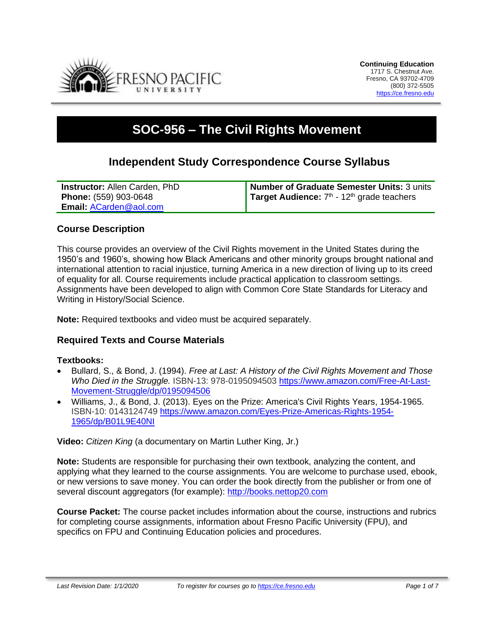

# **SOC-956 – The Civil Rights Movement**

# **Independent Study Correspondence Course Syllabus**

| <b>Instructor: Allen Carden, PhD</b> | Number of Graduate Semester Units: 3 units                      |
|--------------------------------------|-----------------------------------------------------------------|
| <b>Phone:</b> (559) 903-0648         | <b>Target Audience:</b> $7th$ - 12 <sup>th</sup> grade teachers |
| Email: ACarden@aol.com               |                                                                 |

# **Course Description**

This course provides an overview of the Civil Rights movement in the United States during the 1950's and 1960's, showing how Black Americans and other minority groups brought national and international attention to racial injustice, turning America in a new direction of living up to its creed of equality for all. Course requirements include practical application to classroom settings. Assignments have been developed to align with Common Core State Standards for Literacy and Writing in History/Social Science.

**Note:** Required textbooks and video must be acquired separately.

# **Required Texts and Course Materials**

#### **Textbooks:**

- Bullard, S., & Bond, J. (1994). *Free at Last: A History of the Civil Rights Movement and Those Who Died in the Struggle.* ISBN-13: 978-0195094503 [https://www.amazon.com/Free-At-Last-](https://www.amazon.com/Free-At-Last-Movement-Struggle/dp/0195094506)[Movement-Struggle/dp/0195094506](https://www.amazon.com/Free-At-Last-Movement-Struggle/dp/0195094506)
- Williams, J., & Bond, J. (2013). Eyes on the Prize: America's Civil Rights Years, 1954-1965. ISBN-10: 0143124749 [https://www.amazon.com/Eyes-Prize-Americas-Rights-1954-](https://www.amazon.com/Eyes-Prize-Americas-Rights-1954-1965/dp/B01L9E40NI) [1965/dp/B01L9E40NI](https://www.amazon.com/Eyes-Prize-Americas-Rights-1954-1965/dp/B01L9E40NI)

**Video:** *Citizen King* (a documentary on Martin Luther King, Jr.)

**Note:** Students are responsible for purchasing their own textbook, analyzing the content, and applying what they learned to the course assignments. You are welcome to purchase used, ebook, or new versions to save money. You can order the book directly from the publisher or from one of several discount aggregators (for example): [http://books.nettop20.com](http://books.nettop20.com/)

**Course Packet:** The course packet includes information about the course, instructions and rubrics for completing course assignments, information about Fresno Pacific University (FPU), and specifics on FPU and Continuing Education policies and procedures.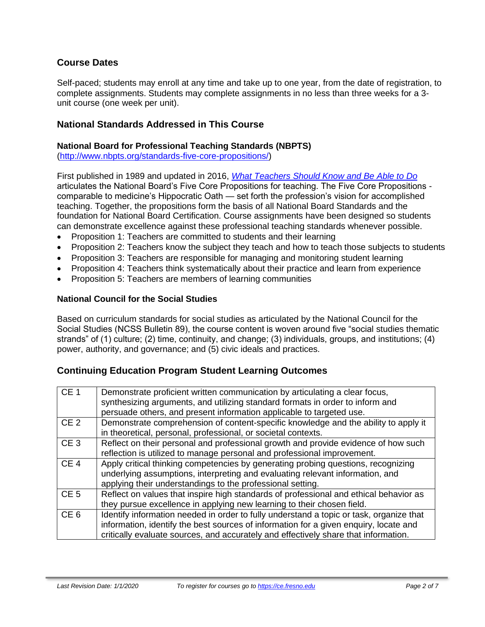# **Course Dates**

Self-paced; students may enroll at any time and take up to one year, from the date of registration, to complete assignments. Students may complete assignments in no less than three weeks for a 3 unit course (one week per unit).

### **National Standards Addressed in This Course**

#### **National Board for Professional Teaching Standards (NBPTS)**

[\(http://www.nbpts.org/standards-five-core-propositions/\)](http://www.nbpts.org/standards-five-core-propositions/)

First published in 1989 and updated in 2016, *[What Teachers Should Know and Be Able to Do](http://www.accomplishedteacher.org/)* articulates the National Board's Five Core Propositions for teaching. The Five Core Propositions comparable to medicine's Hippocratic Oath — set forth the profession's vision for accomplished teaching. Together, the propositions form the basis of all National Board Standards and the foundation for National Board Certification. Course assignments have been designed so students can demonstrate excellence against these professional teaching standards whenever possible.

- Proposition 1: Teachers are committed to students and their learning
- Proposition 2: Teachers know the subject they teach and how to teach those subjects to students
- Proposition 3: Teachers are responsible for managing and monitoring student learning
- Proposition 4: Teachers think systematically about their practice and learn from experience
- Proposition 5: Teachers are members of learning communities

#### **National Council for the Social Studies**

Based on curriculum standards for social studies as articulated by the National Council for the Social Studies (NCSS Bulletin 89), the course content is woven around five "social studies thematic strands" of (1) culture; (2) time, continuity, and change; (3) individuals, groups, and institutions; (4) power, authority, and governance; and (5) civic ideals and practices.

# **Continuing Education Program Student Learning Outcomes**

| CE <sub>1</sub> | Demonstrate proficient written communication by articulating a clear focus,<br>synthesizing arguments, and utilizing standard formats in order to inform and<br>persuade others, and present information applicable to targeted use.                                    |
|-----------------|-------------------------------------------------------------------------------------------------------------------------------------------------------------------------------------------------------------------------------------------------------------------------|
| CE <sub>2</sub> | Demonstrate comprehension of content-specific knowledge and the ability to apply it<br>in theoretical, personal, professional, or societal contexts.                                                                                                                    |
| CE <sub>3</sub> | Reflect on their personal and professional growth and provide evidence of how such<br>reflection is utilized to manage personal and professional improvement.                                                                                                           |
| CE <sub>4</sub> | Apply critical thinking competencies by generating probing questions, recognizing<br>underlying assumptions, interpreting and evaluating relevant information, and<br>applying their understandings to the professional setting.                                        |
| CE <sub>5</sub> | Reflect on values that inspire high standards of professional and ethical behavior as<br>they pursue excellence in applying new learning to their chosen field.                                                                                                         |
| CE <sub>6</sub> | Identify information needed in order to fully understand a topic or task, organize that<br>information, identify the best sources of information for a given enquiry, locate and<br>critically evaluate sources, and accurately and effectively share that information. |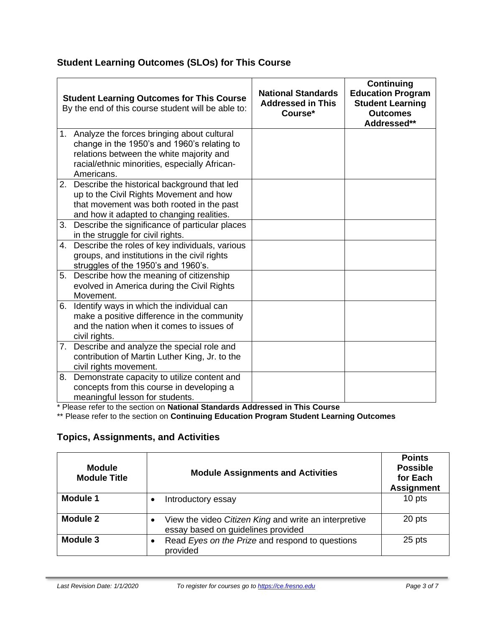# **Student Learning Outcomes (SLOs) for This Course**

|    | <b>Student Learning Outcomes for This Course</b><br>By the end of this course student will be able to:                                                                                                  | <b>National Standards</b><br><b>Addressed in This</b><br>Course* | <b>Continuing</b><br><b>Education Program</b><br><b>Student Learning</b><br><b>Outcomes</b><br>Addressed** |
|----|---------------------------------------------------------------------------------------------------------------------------------------------------------------------------------------------------------|------------------------------------------------------------------|------------------------------------------------------------------------------------------------------------|
|    | 1. Analyze the forces bringing about cultural<br>change in the 1950's and 1960's relating to<br>relations between the white majority and<br>racial/ethnic minorities, especially African-<br>Americans. |                                                                  |                                                                                                            |
|    | 2. Describe the historical background that led<br>up to the Civil Rights Movement and how<br>that movement was both rooted in the past<br>and how it adapted to changing realities.                     |                                                                  |                                                                                                            |
| 3. | Describe the significance of particular places<br>in the struggle for civil rights.                                                                                                                     |                                                                  |                                                                                                            |
| 4. | Describe the roles of key individuals, various<br>groups, and institutions in the civil rights<br>struggles of the 1950's and 1960's.                                                                   |                                                                  |                                                                                                            |
| 5. | Describe how the meaning of citizenship<br>evolved in America during the Civil Rights<br>Movement.                                                                                                      |                                                                  |                                                                                                            |
| 6. | Identify ways in which the individual can<br>make a positive difference in the community<br>and the nation when it comes to issues of<br>civil rights.                                                  |                                                                  |                                                                                                            |
| 7. | Describe and analyze the special role and<br>contribution of Martin Luther King, Jr. to the<br>civil rights movement.                                                                                   |                                                                  |                                                                                                            |
| 8. | Demonstrate capacity to utilize content and<br>concepts from this course in developing a<br>meaningful lesson for students.                                                                             |                                                                  |                                                                                                            |

\* Please refer to the section on **National Standards Addressed in This Course**

\*\* Please refer to the section on **Continuing Education Program Student Learning Outcomes**

# **Topics, Assignments, and Activities**

| <b>Module</b><br><b>Module Title</b> | <b>Module Assignments and Activities</b>                                                    | <b>Points</b><br><b>Possible</b><br>for Each<br><b>Assignment</b> |
|--------------------------------------|---------------------------------------------------------------------------------------------|-------------------------------------------------------------------|
| <b>Module 1</b>                      | Introductory essay                                                                          | 10 pts                                                            |
| <b>Module 2</b>                      | View the video Citizen King and write an interpretive<br>essay based on guidelines provided | 20 pts                                                            |
| Module 3                             | Read Eyes on the Prize and respond to questions<br>$\bullet$<br>provided                    | 25 pts                                                            |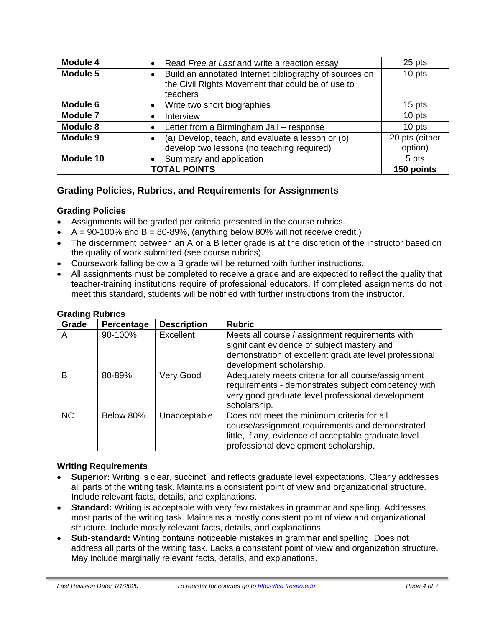| Module 4            | Read Free at Last and write a reaction essay                                                                            | 25 pts                    |
|---------------------|-------------------------------------------------------------------------------------------------------------------------|---------------------------|
| Module 5            | Build an annotated Internet bibliography of sources on<br>the Civil Rights Movement that could be of use to<br>teachers | 10 pts                    |
| Module 6            | Write two short biographies                                                                                             | 15 pts                    |
| <b>Module 7</b>     | Interview<br>$\bullet$                                                                                                  | 10 pts                    |
| <b>Module 8</b>     | Letter from a Birmingham Jail - response                                                                                | 10 pts                    |
| Module 9            | (a) Develop, teach, and evaluate a lesson or (b)<br>develop two lessons (no teaching required)                          | 20 pts (either<br>option) |
| Module 10           | Summary and application                                                                                                 | 5 pts                     |
| <b>TOTAL POINTS</b> |                                                                                                                         | 150 points                |

# **Grading Policies, Rubrics, and Requirements for Assignments**

#### **Grading Policies**

- Assignments will be graded per criteria presented in the course rubrics.
- $A = 90-100\%$  and  $B = 80-89\%$ , (anything below 80% will not receive credit.)
- The discernment between an A or a B letter grade is at the discretion of the instructor based on the quality of work submitted (see course rubrics).
- Coursework falling below a B grade will be returned with further instructions.
- All assignments must be completed to receive a grade and are expected to reflect the quality that teacher-training institutions require of professional educators. If completed assignments do not meet this standard, students will be notified with further instructions from the instructor.

| Grade     | Percentage | <b>Description</b> | <b>Rubric</b>                                                                                                                                                                                   |
|-----------|------------|--------------------|-------------------------------------------------------------------------------------------------------------------------------------------------------------------------------------------------|
| A         | 90-100%    | Excellent          | Meets all course / assignment requirements with<br>significant evidence of subject mastery and<br>demonstration of excellent graduate level professional<br>development scholarship.            |
| B         | 80-89%     | Very Good          | Adequately meets criteria for all course/assignment<br>requirements - demonstrates subject competency with<br>very good graduate level professional development<br>scholarship.                 |
| <b>NC</b> | Below 80%  | Unacceptable       | Does not meet the minimum criteria for all<br>course/assignment requirements and demonstrated<br>little, if any, evidence of acceptable graduate level<br>professional development scholarship. |

#### **Grading Rubrics**

#### **Writing Requirements**

- **Superior:** Writing is clear, succinct, and reflects graduate level expectations. Clearly addresses all parts of the writing task. Maintains a consistent point of view and organizational structure. Include relevant facts, details, and explanations.
- **Standard:** Writing is acceptable with very few mistakes in grammar and spelling. Addresses most parts of the writing task. Maintains a mostly consistent point of view and organizational structure. Include mostly relevant facts, details, and explanations.
- **Sub-standard:** Writing contains noticeable mistakes in grammar and spelling. Does not address all parts of the writing task. Lacks a consistent point of view and organization structure. May include marginally relevant facts, details, and explanations.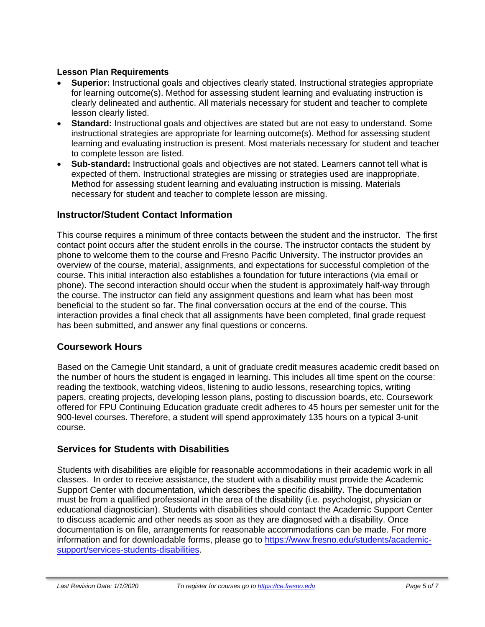#### **Lesson Plan Requirements**

- **Superior:** Instructional goals and objectives clearly stated. Instructional strategies appropriate for learning outcome(s). Method for assessing student learning and evaluating instruction is clearly delineated and authentic. All materials necessary for student and teacher to complete lesson clearly listed.
- **Standard:** Instructional goals and objectives are stated but are not easy to understand. Some instructional strategies are appropriate for learning outcome(s). Method for assessing student learning and evaluating instruction is present. Most materials necessary for student and teacher to complete lesson are listed.
- **Sub-standard:** Instructional goals and objectives are not stated. Learners cannot tell what is expected of them. Instructional strategies are missing or strategies used are inappropriate. Method for assessing student learning and evaluating instruction is missing. Materials necessary for student and teacher to complete lesson are missing.

# **Instructor/Student Contact Information**

This course requires a minimum of three contacts between the student and the instructor. The first contact point occurs after the student enrolls in the course. The instructor contacts the student by phone to welcome them to the course and Fresno Pacific University. The instructor provides an overview of the course, material, assignments, and expectations for successful completion of the course. This initial interaction also establishes a foundation for future interactions (via email or phone). The second interaction should occur when the student is approximately half-way through the course. The instructor can field any assignment questions and learn what has been most beneficial to the student so far. The final conversation occurs at the end of the course. This interaction provides a final check that all assignments have been completed, final grade request has been submitted, and answer any final questions or concerns.

# **Coursework Hours**

Based on the Carnegie Unit standard, a unit of graduate credit measures academic credit based on the number of hours the student is engaged in learning. This includes all time spent on the course: reading the textbook, watching videos, listening to audio lessons, researching topics, writing papers, creating projects, developing lesson plans, posting to discussion boards, etc. Coursework offered for FPU Continuing Education graduate credit adheres to 45 hours per semester unit for the 900-level courses. Therefore, a student will spend approximately 135 hours on a typical 3-unit course.

# **Services for Students with Disabilities**

Students with disabilities are eligible for reasonable accommodations in their academic work in all classes. In order to receive assistance, the student with a disability must provide the Academic Support Center with documentation, which describes the specific disability. The documentation must be from a qualified professional in the area of the disability (i.e. psychologist, physician or educational diagnostician). Students with disabilities should contact the Academic Support Center to discuss academic and other needs as soon as they are diagnosed with a disability. Once documentation is on file, arrangements for reasonable accommodations can be made. For more information and for downloadable forms, please go to [https://www.fresno.edu/students/academic](https://www.fresno.edu/students/academic-support/services-students-disabilities)[support/services-students-disabilities.](https://www.fresno.edu/students/academic-support/services-students-disabilities)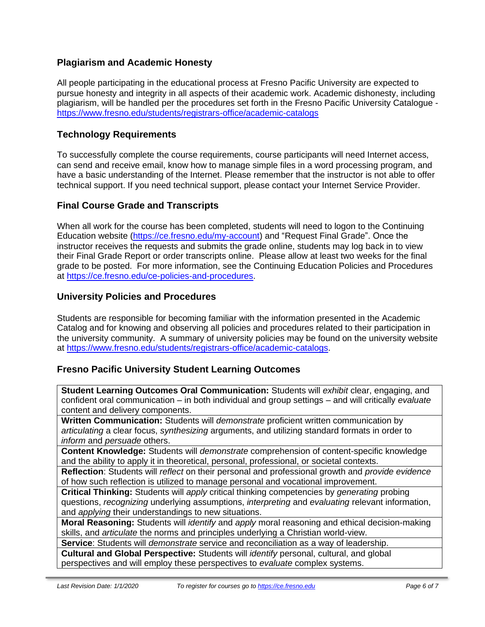# **Plagiarism and Academic Honesty**

All people participating in the educational process at Fresno Pacific University are expected to pursue honesty and integrity in all aspects of their academic work. Academic dishonesty, including plagiarism, will be handled per the procedures set forth in the Fresno Pacific University Catalogue <https://www.fresno.edu/students/registrars-office/academic-catalogs>

# **Technology Requirements**

To successfully complete the course requirements, course participants will need Internet access, can send and receive email, know how to manage simple files in a word processing program, and have a basic understanding of the Internet. Please remember that the instructor is not able to offer technical support. If you need technical support, please contact your Internet Service Provider.

# **Final Course Grade and Transcripts**

When all work for the course has been completed, students will need to logon to the Continuing Education website [\(https://ce.fresno.edu/my-account\)](https://ce.fresno.edu/my-account) and "Request Final Grade". Once the instructor receives the requests and submits the grade online, students may log back in to view their Final Grade Report or order transcripts online. Please allow at least two weeks for the final grade to be posted. For more information, see the Continuing Education Policies and Procedures at [https://ce.fresno.edu/ce-policies-and-procedures.](https://ce.fresno.edu/ce-policies-and-procedures)

# **University Policies and Procedures**

Students are responsible for becoming familiar with the information presented in the Academic Catalog and for knowing and observing all policies and procedures related to their participation in the university community. A summary of university policies may be found on the university website at [https://www.fresno.edu/students/registrars-office/academic-catalogs.](https://www.fresno.edu/students/registrars-office/academic-catalogs)

# **Fresno Pacific University Student Learning Outcomes**

**Student Learning Outcomes Oral Communication:** Students will *exhibit* clear, engaging, and confident oral communication – in both individual and group settings – and will critically *evaluate*  content and delivery components.

**Written Communication:** Students will *demonstrate* proficient written communication by *articulating* a clear focus, *synthesizing* arguments, and utilizing standard formats in order to *inform* and *persuade* others.

**Content Knowledge:** Students will *demonstrate* comprehension of content-specific knowledge and the ability to apply it in theoretical, personal, professional, or societal contexts.

**Reflection**: Students will *reflect* on their personal and professional growth and *provide evidence*  of how such reflection is utilized to manage personal and vocational improvement.

**Critical Thinking:** Students will *apply* critical thinking competencies by *generating* probing questions, *recognizing* underlying assumptions, *interpreting* and *evaluating* relevant information, and *applying* their understandings to new situations.

**Moral Reasoning:** Students will *identify* and *apply* moral reasoning and ethical decision-making skills, and *articulate* the norms and principles underlying a Christian world-view.

**Service**: Students will *demonstrate* service and reconciliation as a way of leadership.

**Cultural and Global Perspective:** Students will *identify* personal, cultural, and global perspectives and will employ these perspectives to *evaluate* complex systems.